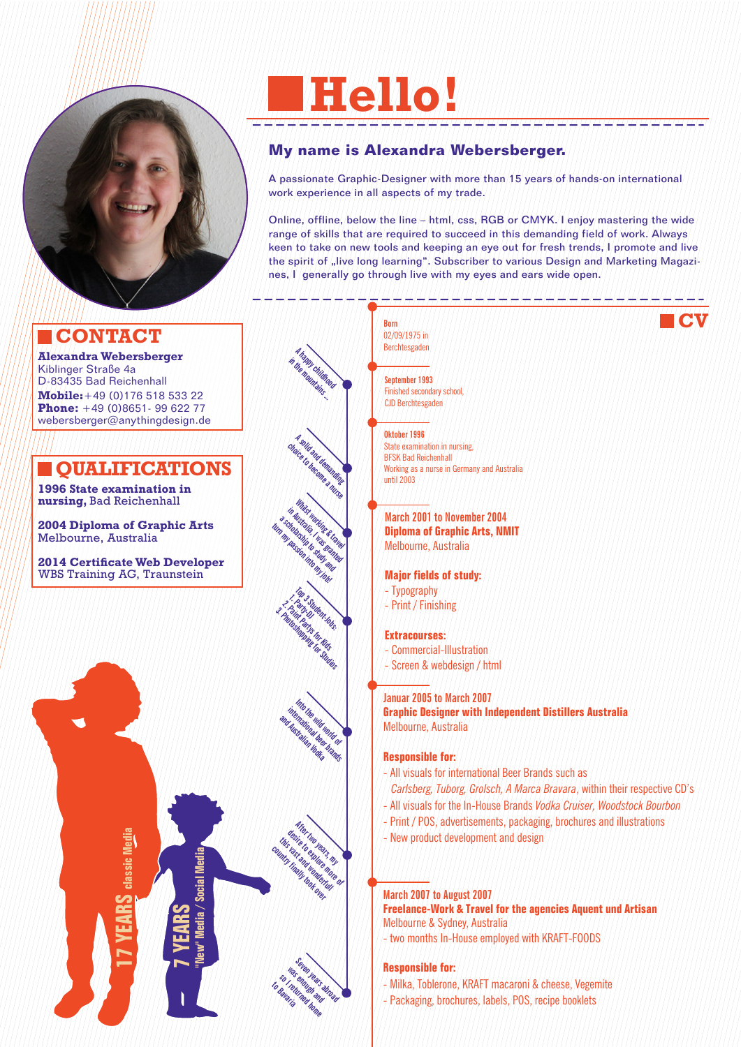

# **CONTACT**

**Alexandra Webersberger** Kiblinger Straße 4a D-83435 Bad Reichenhall **Mobile:**+49 (0)176 518 533 22 **Phone:** +49 (0)8651- 99 622 77 webersberger@anythingdesign.de

# **LOUALIFICATIONS**

**1996 State examination in nursing,** Bad Reichenhall

**2004 Diploma of Graphic Arts**  Melbourne, Australia

**2014 Certificate Web Developer**  WBS Training AG, Traunstein



# **Hello!**

# **My name is Alexandra Webersberger.**

A passionate Graphic-Designer with more than 15 years of hands-on international work experience in all aspects of my trade.

Online, offline, below the line – html, css, RGB or CMYK. I enjoy mastering the wide range of skills that are required to succeed in this demanding field of work. Always keen to take on new tools and keeping an eye out for fresh trends, I promote and live the spirit of "live long learning". Subscriber to various Design and Marketing Magazines, I generally go through live with my eyes and ears wide open.

**CV**

**Born** 02/09/1975 in Berchtesgaden

**A happy childhood in the mountains ...**

**A solid and demanding choice to become a nurse**

White working & travel **in Australia, I was granted a scholarship to study and turn my passion into my job!**

**September 1993** Finished secondary school, CJD Berchtesgaden

**Oktober 1996** State examination in nursing, BFSK Bad Reichenhall Working as a nurse in Germany and Australia until 2003

**March 2001 to November 2004 Diploma of Graphic Arts, NMIT**  Melbourne, Australia

### **Major fields of study:**

- Typography
- Print / Finishing

### **Extracourses:**

- Commercial-Illustration
- Screen & webdesign / html

### **Januar 2005 to March 2007**

**Graphic Designer with Independent Distillers Australia** Melbourne, Australia

### **Responsible for:**

- All visuals for international Beer Brands such as
- *Carlsberg, Tuborg, Grolsch, A Marca Bravara*, within their respective CD's
- All visuals for the In-House Brands *Vodka Cruiser, Woodstock Bourbon*
- Print / POS, advertisements, packaging, brochures and illustrations
- New product development and design

### **March 2007 to August 2007**

**Freelance-Work & Travel for the agencies Aquent und Artisan** Melbourne & Sydney, Australia

- two months In-House employed with KRAFT-FOODS

### **Responsible for:**

- Milka, Toblerone, KRAFT macaroni & cheese, Vegemite
- Packaging, brochures, labels, POS, recipe booklets